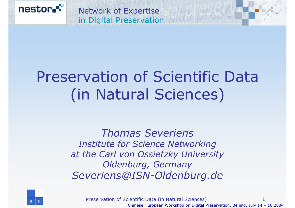

# Preservation of Scientific Data(in Natural Sciences)

*Thomas SeveriensInstitute for Science Networking at the Carl von Ossietzky University Oldenburg, Germany Severiens@ISN-Oldenburg.de*



Preservation of Scientific Data (in Natural Sciences) 1Chinese European Workshop on Digital Preservation, Beijing, July  $14 - 16$  2004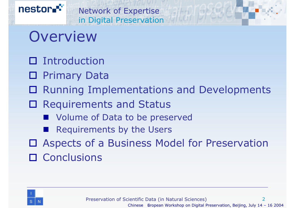

### Overview

- □ Introduction
- □ Primary Data
- Running Implementations and Developments
- □ Requirements and Status
	- Volume of Data to be preserved
	- Requirements by the Users
- Aspects of a Business Model for Preservation □ Conclusions

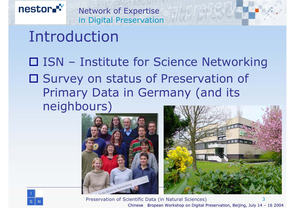#### Network of Expertise in Digital Preservation

### Introduction

nestor.<sup>\*\*</sup>

### ISN – Institute for Science Networking □ Survey on status of Preservation of Primary Data in Germany (and its neighbours)





Preservation of Scientific Data (in Natural Sciences) 3Chinese European Workshop on Digital Preservation, Beijing, July  $14 - 16$  2004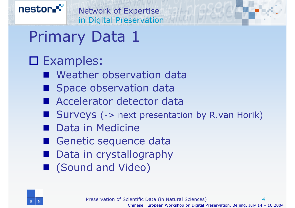

### Examples:

- **Neather observation data**
- **Space observation data**
- Accelerator detector data
- Surveys (-> next presentation by R.van Horik)
- **Data in Medicine**
- Genetic sequence data
- Data in crystallography
- (Sound and Video)

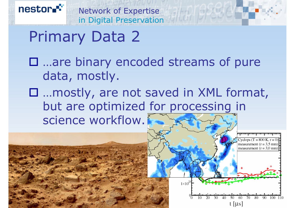

nestor.<sup>\*\*</sup>

- …are binary encoded streams of pure data, mostly.
- …mostly, are not saved in XML format, but are optimized for processing in science workflow.

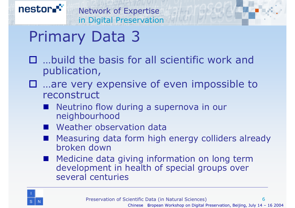

- …build the basis for all scientific work and publication,
- …are very expensive of even impossible to reconstruct
	- **Service Service**  Neutrino flow during a supernova in our neighbourhood
	- Weather observation data
	- Measuring data form high energy colliders already broken down
	- Medicine data giving information on long term development in health of special groups over several centuries

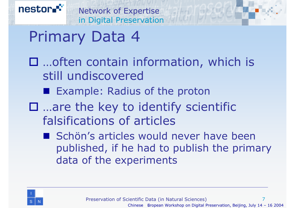- □ …often contain information, which is still undiscovered
	- **Example: Radius of the proton**
- □ …are the key to identify scientific falsifications of articles
	- Schön's articles would never have been published, if he had to publish the primary data of the experiments

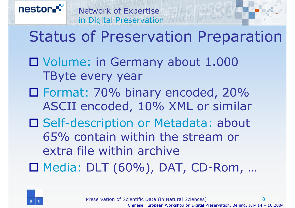### in Digital Preservation Status of Preservation Preparation

 Volume: in Germany about 1.000 TByte every year

Network of Expertise

- Format: 70% binary encoded, 20% ASCII encoded, 10% XML or similar
- □ Self-description or Metadata: about 65% contain within the stream or extra file within archive

Media: DLT (60%), DAT, CD-Rom, …

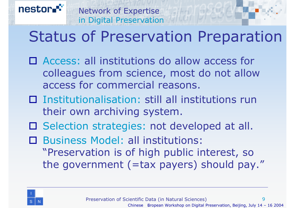### Status of Preservation Preparation

□ Access: all institutions do allow access for colleagues from science, most do not allow access for commercial reasons.

Network of Expertise

in Digital Preservation

- □ Institutionalisation: still all institutions run their own archiving system.
- □ Selection strategies: not developed at all.

 $\Box$  Business Model: all institutions: "Preservation is of high public interest, so the government (=tax payers) should pay."



nestor

 $\mathbf Q$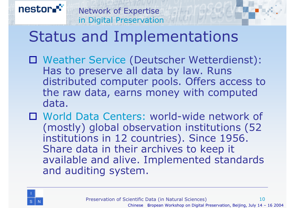#### Network of Expertise in Digital Preservation

### Status and Implementations

- Weather Service (Deutscher Wetterdienst): Has to preserve all data by law. Runs distributed computer pools. Offers access to the raw data, earns money with computed data.
- World Data Centers: world-wide network of (mostly) global observation institutions (52 institutions in 12 countries). Since 1956. Share data in their archives to keep it available and alive. Implemented standards and auditing system.

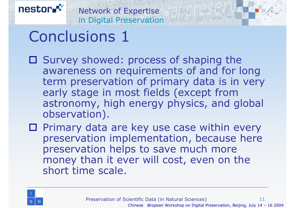# Conclusions 1

- □ Survey showed: process of shaping the awareness on requirements of and for long term preservation of primary data is in very early stage in most fields (except from astronomy, high energy physics, and global observation).
- $\square$  Primary data are key use case within every preservation implementation, because here preservation helps to save much more money than it ever will cost, even on the short time scale.

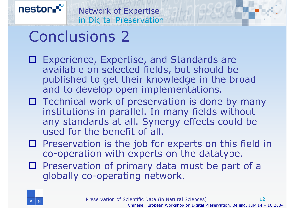### Conclusions 2

- Experience, Expertise, and Standards are available on selected fields, but should be published to get their knowledge in the broad and to develop open implementations.
- $\square$  Technical work of preservation is done by many institutions in parallel. In many fields without any standards at all. Synergy effects could be used for the benefit of all.
- $\square$  Preservation is the job for experts on this field in co-operation with experts on the datatype.
- $\square$  Preservation of primary data must be part of a globally co-operating network.

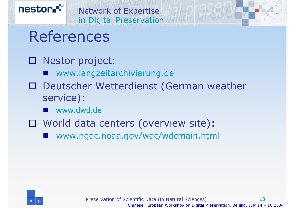

### References

#### Nestor project:

- www.langzeitarchivierung.de
- Deutscher Wetterdienst (German weather service):
	- $\mathbb{R}^2$ www.dwd.de
- World data centers (overview site):
	- www.ngdc.noaa.gov/wdc/wdcmain.html